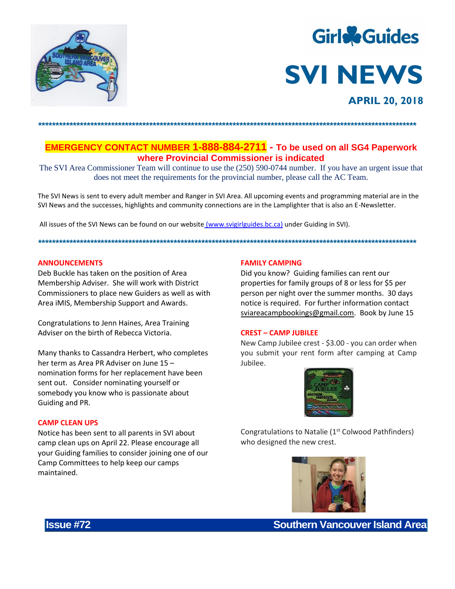



**EMERGENCY CONTACT NUMBER 1-888-884-2711** - To be used on all SG4 Paperwork where Provincial Commissioner is indicated

The SVI Area Commissioner Team will continue to use the (250) 590-0744 number. If you have an urgent issue that does not meet the requirements for the provincial number, please call the AC Team.

The SVI News is sent to every adult member and Ranger in SVI Area. All upcoming events and programming material are in the SVI News and the successes, highlights and community connections are in the Lamplighter that is also an E-Newsletter.

All issues of the SVI News can be found on our website (www.svigirlguides.bc.ca) under Guiding in SVI).

#### **ANNOUNCEMENTS**

Deb Buckle has taken on the position of Area Membership Adviser. She will work with District Commissioners to place new Guiders as well as with Area iMIS, Membership Support and Awards.

Congratulations to Jenn Haines, Area Training Adviser on the birth of Rebecca Victoria.

Many thanks to Cassandra Herbert, who completes her term as Area PR Adviser on June 15 nomination forms for her replacement have been sent out. Consider nominating yourself or somebody you know who is passionate about Guiding and PR.

#### **CAMP CLEAN UPS**

Notice has been sent to all parents in SVI about camp clean ups on April 22. Please encourage all your Guiding families to consider joining one of our Camp Committees to help keep our camps maintained.

#### **FAMILY CAMPING**

Did you know? Guiding families can rent our properties for family groups of 8 or less for \$5 per person per night over the summer months. 30 days notice is required. For further information contact sviareacampbookings@gmail.com. Book by June 15

#### **CREST - CAMP JUBILEE**

New Camp Jubilee crest - \$3.00 - you can order when you submit your rent form after camping at Camp Jubilee.



Congratulations to Natalie (1<sup>st</sup> Colwood Pathfinders) who designed the new crest.



**Southern Vancouver Island Area** 

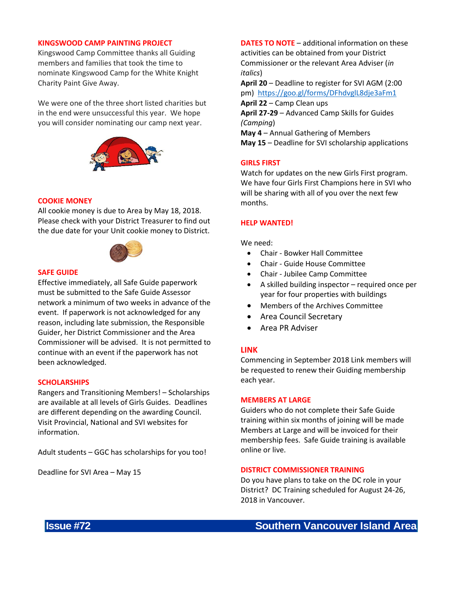### **KINGSWOOD CAMP PAINTING PROJECT**

Kingswood Camp Committee thanks all Guiding members and families that took the time to nominate Kingswood Camp for the White Knight Charity Paint Give Away.

We were one of the three short listed charities but in the end were unsuccessful this year. We hope you will consider nominating our camp next year.



## **COOKIE MONEY**

All cookie money is due to Area by May 18, 2018. Please check with your District Treasurer to find out the due date for your Unit cookie money to District.



## **SAFE GUIDE**

Effective immediately, all Safe Guide paperwork must be submitted to the Safe Guide Assessor network a minimum of two weeks in advance of the event. If paperwork is not acknowledged for any reason, including late submission, the Responsible Guider, her District Commissioner and the Area Commissioner will be advised. It is not permitted to continue with an event if the paperwork has not been acknowledged.

### **SCHOLARSHIPS**

Rangers and Transitioning Members! – Scholarships are available at all levels of Girls Guides. Deadlines are different depending on the awarding Council. Visit Provincial, National and SVI websites for information.

Adult students – GGC has scholarships for you too!

Deadline for SVI Area – May 15

**DATES TO NOTE** – additional information on these activities can be obtained from your District Commissioner or the relevant Area Adviser (*in italics*) **April 20** – Deadline to register for SVI AGM (2:00

pm) <https://goo.gl/forms/DFhdvglL8dje3aFm1> **April 22** – Camp Clean ups **April 27-29** – Advanced Camp Skills for Guides *(Camping*) **May 4** – Annual Gathering of Members

**May 15** – Deadline for SVI scholarship applications

### **GIRLS FIRST**

Watch for updates on the new Girls First program. We have four Girls First Champions here in SVI who will be sharing with all of you over the next few months.

### **HELP WANTED!**

We need:

- Chair Bowker Hall Committee
- Chair Guide House Committee
- Chair Jubilee Camp Committee
- A skilled building inspector required once per year for four properties with buildings
- Members of the Archives Committee
- Area Council Secretary
- Area PR Adviser

# **LINK**

Commencing in September 2018 Link members will be requested to renew their Guiding membership each year.

#### **MEMBERS AT LARGE**

Guiders who do not complete their Safe Guide training within six months of joining will be made Members at Large and will be invoiced for their membership fees. Safe Guide training is available online or live.

## **DISTRICT COMMISSIONER TRAINING**

Do you have plans to take on the DC role in your District? DC Training scheduled for August 24-26, 2018 in Vancouver.